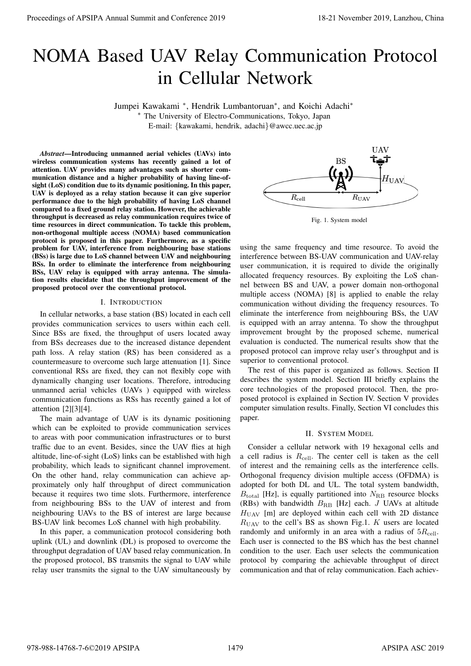# NOMA Based UAV Relay Communication Protocol in Cellular Network

Jumpei Kawakami *<sup>∗</sup>* , Hendrik Lumbantoruan*<sup>∗</sup>* , and Koichi Adachi*<sup>∗</sup>*

*<sup>∗</sup>* The University of Electro-Communications, Tokyo, Japan E-mail: *{*kawakami, hendrik, adachi*}*@awcc.uec.ac.jp

*Abstract*—Introducing unmanned aerial vehicles (UAVs) into wireless communication systems has recently gained a lot of attention. UAV provides many advantages such as shorter communication distance and a higher probability of having line-ofsight (LoS) condition due to its dynamic positioning. In this paper, UAV is deployed as a relay station because it can give superior performance due to the high probability of having LoS channel compared to a fixed ground relay station. However, the achievable throughput is decreased as relay communication requires twice of time resources in direct communication. To tackle this problem, non-orthogonal multiple access (NOMA) based communication protocol is proposed in this paper. Furthermore, as a specific problem for UAV, interference from neighbouring base stations (BSs) is large due to LoS channel between UAV and neighbouring BSs. In order to eliminate the interference from neighbouring BSs, UAV relay is equipped with array antenna. The simulation results elucidate that the throughput improvement of the proposed protocol over the conventional protocol. **Proceedings of APSIPA Annual Summit and Conference 2019**<br> **Proceedings of APSIPA Annual Summit and Conference 2019**<br> **Proceedings of APSIPA Annual Summit and Conference 2019**<br> **Proceedings of APSIPA Annual Summit and Con** 

## I. INTRODUCTION

In cellular networks, a base station (BS) located in each cell provides communication services to users within each cell. Since BSs are fixed, the throughput of users located away from BSs decreases due to the increased distance dependent path loss. A relay station (RS) has been considered as a countermeasure to overcome such large attenuation [1]. Since conventional RSs are fixed, they can not flexibly cope with dynamically changing user locations. Therefore, introducing unmanned aerial vehicles (UAVs ) equipped with wireless communication functions as RSs has recently gained a lot of attention [2][3][4].

The main advantage of UAV is its dynamic positioning which can be exploited to provide communication services to areas with poor communication infrastructures or to burst traffic due to an event. Besides, since the UAV flies at high altitude, line-of-sight (LoS) links can be established with high probability, which leads to significant channel improvement. On the other hand, relay communication can achieve approximately only half throughput of direct communication because it requires two time slots. Furthermore, interference from neighbouring BSs to the UAV of interest and from neighbouring UAVs to the BS of interest are large because BS-UAV link becomes LoS channel with high probability.

In this paper, a communication protocol considering both uplink (UL) and downlink (DL) is proposed to overcome the throughput degradation of UAV based relay communication. In the proposed protocol, BS transmits the signal to UAV while relay user transmits the signal to the UAV simultaneously by



Fig. 1. System model

using the same frequency and time resource. To avoid the interference between BS-UAV communication and UAV-relay user communication, it is required to divide the originally allocated frequency resources. By exploiting the LoS channel between BS and UAV, a power domain non-orthogonal multiple access (NOMA) [8] is applied to enable the relay communication without dividing the frequency resources. To eliminate the interference from neighbouring BSs, the UAV is equipped with an array antenna. To show the throughput improvement brought by the proposed scheme, numerical evaluation is conducted. The numerical results show that the proposed protocol can improve relay user's throughput and is superior to conventional protocol.

The rest of this paper is organized as follows. Section II describes the system model. Section III briefly explains the core technologies of the proposed protocol. Then, the proposed protocol is explained in Section IV. Section V provides computer simulation results. Finally, Section VI concludes this paper.

# II. SYSTEM MODEL

Consider a cellular network with 19 hexagonal cells and a cell radius is  $R_{ce}$ . The center cell is taken as the cell of interest and the remaining cells as the interference cells. Orthogonal frequency division multiple access (OFDMA) is adopted for both DL and UL. The total system bandwidth,  $B_{\text{total}}$  [Hz], is equally partitioned into  $N_{\text{RB}}$  resource blocks (RBs) with bandwidth  $B_{RB}$  [Hz] each. *J* UAVs at altitude H<sub>UAV</sub> [m] are deployed within each cell with 2D distance  $R_{\text{UAV}}$  to the cell's BS as shown Fig.1. *K* users are located randomly and uniformly in an area with a radius of  $5R_{ce}$ . Each user is connected to the BS which has the best channel condition to the user. Each user selects the communication protocol by comparing the achievable throughput of direct communication and that of relay communication. Each achiev-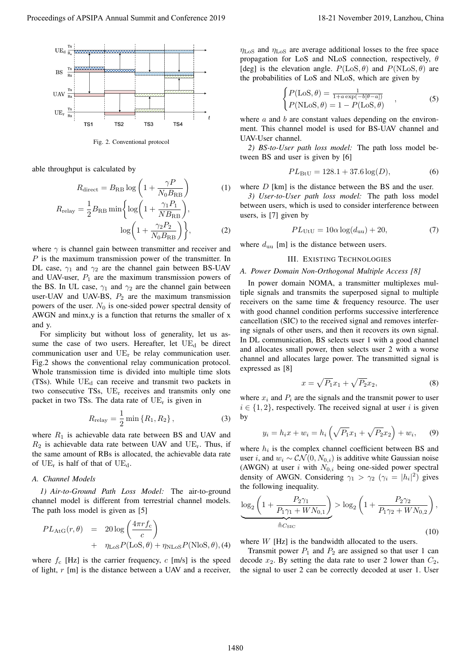

Fig. 2. Conventional protocol

able throughput is calculated by

$$
R_{\text{direct}} = B_{\text{RB}} \log \left( 1 + \frac{\gamma P}{N_0 B_{\text{RB}}} \right) \tag{1}
$$
\n
$$
R_{\text{re ay}} = \frac{1}{2} B_{\text{RB}} \min \left\{ \log \left( 1 + \frac{\gamma_1 P_1}{N B_{\text{RB}}} \right), \log \left( 1 + \frac{\gamma_2 P_2}{N_0 B_{\text{RB}}} \right) \right\}, \tag{2}
$$

where *γ* is channel gain between transmitter and receiver and *P* is the maximum transmission power of the transmitter. In DL case,  $\gamma_1$  and  $\gamma_2$  are the channel gain between BS-UAV and UAV-user,  $P_1$  are the maximum transmission powers of the BS. In UL case,  $\gamma_1$  and  $\gamma_2$  are the channel gain between user-UAV and UAV-BS,  $P_2$  are the maximum transmission powers of the user.  $N_0$  is one-sided power spectral density of AWGN and minx,y is a function that returns the smaller of x and y.

For simplicity but without loss of generality, let us assume the case of two users. Hereafter, let  $UE<sub>d</sub>$  be direct communication user and  $UE<sub>r</sub>$  be relay communication user. Fig.2 shows the conventional relay communication protocol. Whole transmission time is divided into multiple time slots (TSs). While  $UE<sub>d</sub>$  can receive and transmit two packets in two consecutive TSs, UE<sup>r</sup> receives and transmits only one packet in two TSs. The data rate of  $UE<sub>r</sub>$  is given in

$$
R_{\text{re ay}} = \frac{1}{2} \min \{ R_1, R_2 \}, \tag{3}
$$

where  $R_1$  is achievable data rate between BS and UAV and  $R_2$  is achievable data rate between UAV and UE<sub>r</sub>. Thus, if the same amount of RBs is allocated, the achievable data rate of  $UE_r$  is half of that of  $UE_d$ .

# *A. Channel Models*

*1) Air-to-Ground Path Loss Model:* The air-to-ground channel model is different from terrestrial channel models. The path loss model is given as [5]

$$
PL_{\text{AtG}}(r,\theta) = 20 \log \left( \frac{4\pi r f_c}{c} \right)
$$
  
+  $\eta_{\text{LoS}} P(\text{LoS}, \theta) + \eta_{\text{NLoS}} P(\text{NloS}, \theta), (4)$ 

where  $f_c$  [Hz] is the carrier frequency,  $c$  [m/s] is the speed of light, *r* [m] is the distance between a UAV and a receiver,

*η*LoS and *η*LoS are average additional losses to the free space propagation for LoS and NLoS connection, respectively, *θ* [deg] is the elevation angle.  $P(\text{LoS}, \theta)$  and  $P(\text{NLoS}, \theta)$  are the probabilities of LoS and NLoS, which are given by

$$
\begin{cases}\nP(\text{LoS}, \theta) = \frac{1}{1 + a \exp(-b[\theta - a])} \\
P(\text{NLoS}, \theta) = 1 - P(\text{LoS}, \theta)\n\end{cases} \tag{5}
$$

where *a* and *b* are constant values depending on the environment. This channel model is used for BS-UAV channel and UAV-User channel.

*2) BS-to-User path loss model:* The path loss model between BS and user is given by [6]

$$
PL_{\text{BtU}} = 128.1 + 37.6 \log(D), \tag{6}
$$

where *D* [km] is the distance between the BS and the user.

*3) User-to-User path loss model:* The path loss model between users, which is used to consider interference between users, is [7] given by

$$
PL_{\text{UtU}} = 10\alpha \log(d_{\text{uu}}) + 20,\tag{7}
$$

where  $d_{\text{uu}}$  [m] is the distance between users.

# III. EXISTING TECHNOLOGIES

# *A. Power Domain Non-Orthogonal Multiple Access [8]*

In power domain NOMA, a transmitter multiplexes multiple signals and transmits the superposed signal to multiple receivers on the same time & frequency resource. The user with good channel condition performs successive interference cancellation (SIC) to the received signal and removes interfering signals of other users, and then it recovers its own signal. In DL communication, BS selects user 1 with a good channel and allocates small power, then selects user 2 with a worse channel and allocates large power. The transmitted signal is expressed as [8] Proceeding of APSIPA Annual Summit and Conference 2019<br>
Proceedings of APSIPA Annual Summit and Conference 2019<br>
Proceedings of APSIPA Annual Summit and Conference 2019<br>
Proceedings of APSIPA Annual Summit and Conference

$$
x = \sqrt{P_1}x_1 + \sqrt{P_2}x_2,
$$
\n(8)

where  $x_i$  and  $P_i$  are the signals and the transmit power to user  $i \in \{1, 2\}$ , respectively. The received signal at user *i* is given by

$$
y_i = h_i x + w_i = h_i \left( \sqrt{P_1} x_1 + \sqrt{P_2} x_2 \right) + w_i, \quad (9)
$$

where  $h_i$  is the complex channel coefficient between BS and user *i*, and  $w_i$  ∼  $CN(0, N_{0,i})$  is additive white Gaussian noise (AWGN) at user  $i$  with  $N_{0,i}$  being one-sided power spectral density of AWGN. Considering  $\gamma_1 > \gamma_2$  ( $\gamma_i = |h_i|^2$ ) gives the following inequality.

$$
\underbrace{\log_2\left(1+\frac{P_2\gamma_1}{P_1\gamma_1+WN_{0,1}}\right)}_{\triangleq C_{\text{SIC}}} > \log_2\left(1+\frac{P_2\gamma_2}{P_1\gamma_2+WN_{0,2}}\right),\tag{10}
$$

where *W* [Hz] is the bandwidth allocated to the users.

Transmit power  $P_1$  and  $P_2$  are assigned so that user 1 can decode  $x_2$ . By setting the data rate to user 2 lower than  $C_2$ , the signal to user 2 can be correctly decoded at user 1. User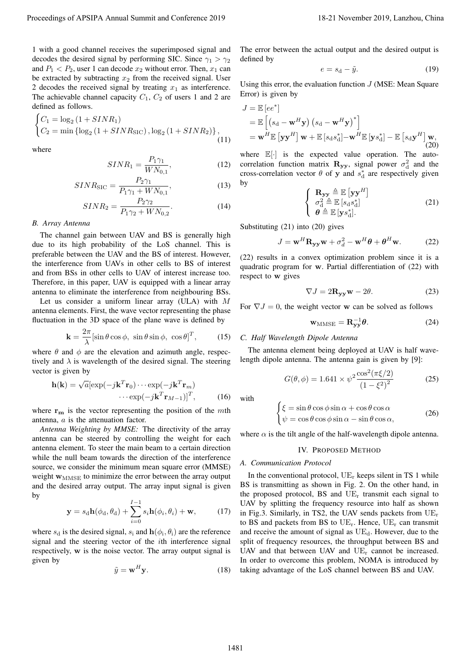1 with a good channel receives the superimposed signal and decodes the desired signal by performing SIC. Since  $\gamma_1 > \gamma_2$ and  $P_1 < P_2$ , user 1 can decode  $x_2$  without error. Then,  $x_1$  can be extracted by subtracting  $x_2$  from the received signal. User 2 decodes the received signal by treating  $x_1$  as interference. The achievable channel capacity  $C_1$ ,  $C_2$  of users 1 and 2 are defined as follows.

$$
\begin{cases}\nC_1 = \log_2\left(1 + SINR_1\right) \\
C_2 = \min\left\{\log_2\left(1 + SINR_{\text{SIC}}\right), \log_2\left(1 + SINR_2\right)\right\},\n\end{cases} \tag{11}
$$

where

$$
SINR_1 = \frac{P_1 \gamma_1}{WN_{0,1}},\tag{12}
$$

$$
SINR_{\rm SIC} = \frac{P_2 \gamma_1}{P_1 \gamma_1 + W N_{0,1}},\tag{13}
$$

$$
SINR_2 = \frac{P_2 \gamma_2}{P_1 \gamma_2 + W N_{0,2}}.\tag{14}
$$

## *B. Array Antenna*

The channel gain between UAV and BS is generally high due to its high probability of the LoS channel. This is preferable between the UAV and the BS of interest. However, the interference from UAVs in other cells to BS of interest and from BSs in other cells to UAV of interest increase too. Therefore, in this paper, UAV is equipped with a linear array antenna to eliminate the interference from neighbouring BSs.

Let us consider a uniform linear array (ULA) with *M* antenna elements. First, the wave vector representing the phase fluctuation in the 3D space of the plane wave is defined by

$$
\mathbf{k} = \frac{2\pi}{\lambda} [\sin \theta \cos \phi, \ \sin \theta \sin \phi, \ \cos \theta]^T, \tag{15}
$$

where  $\theta$  and  $\phi$  are the elevation and azimuth angle, respectively and  $\lambda$  is wavelength of the desired signal. The steering vector is given by

$$
\mathbf{h}(\mathbf{k}) = \sqrt{a} [\exp(-j\mathbf{k}^T \mathbf{r}_0) \cdots \exp(-j\mathbf{k}^T \mathbf{r}_m) \cdots \exp(-j\mathbf{k}^T \mathbf{r}_{M-1})]^T,
$$
(16)

where **r<sup>m</sup>** is the vector representing the position of the *m*th antenna, *a* is the attenuation factor.

*Antenna Weighting by MMSE:* The directivity of the array antenna can be steered by controlling the weight for each antenna element. To steer the main beam to a certain direction while the null beam towards the direction of the interference source, we consider the minimum mean square error (MMSE) weight **w**<sub>MMSE</sub> to minimize the error between the array output and the desired array output. The array input signal is given by

$$
\mathbf{y} = s_{\mathrm{d}}\mathbf{h}(\phi_{\mathrm{d}}, \theta_{\mathrm{d}}) + \sum_{i=0}^{I-1} s_{i}\mathbf{h}(\phi_{i}, \theta_{i}) + \mathbf{w}, \quad (17)
$$

where  $s_d$  is the desired signal,  $s_i$  and  $h(\phi_i, \theta_i)$  are the reference signal and the steering vector of the *i*th interference signal respectively, **w** is the noise vector. The array output signal is given by

$$
\tilde{y} = \mathbf{w}^H \mathbf{y}.\tag{18}
$$

The error between the actual output and the desired output is defined by

$$
e = s_{\rm d} - \tilde{y}.\tag{19}
$$

Using this error, the evaluation function *J* (MSE: Mean Square Error) is given by

$$
J = \mathbb{E} [ee^*]
$$
  
=  $\mathbb{E} [(s_d - \mathbf{w}^H \mathbf{y}) (s_d - \mathbf{w}^H \mathbf{y})^*]$   
=  $\mathbf{w}^H \mathbb{E} [\mathbf{y} \mathbf{y}^H] \mathbf{w} + \mathbb{E} [s_d s_d^*] - \mathbf{w}^H \mathbb{E} [y s_d^*] - \mathbb{E} [s_d \mathbf{y}^H] \mathbf{w},$   
(20)

where  $\mathbb{E}[\cdot]$  is the expected value operation. The autocorrelation function matrix  $\mathbf{R}_{\mathbf{y}\mathbf{y}}$ , signal power  $\sigma_d^2$  and the cross-correlation vector  $\theta$  of **y** and  $s_d^*$  are respectively given by

$$
\begin{cases} \mathbf{R}_{\mathbf{y}\mathbf{y}} \triangleq \mathbb{E} \left[ \mathbf{y}\mathbf{y}^H \right] \\ \sigma_{\mathbf{d}}^2 \triangleq \mathbb{E} \left[ s_{\mathbf{d}} s_{\mathbf{d}}^* \right] \\ \boldsymbol{\theta} \triangleq \mathbb{E} \left[ \mathbf{y} s_{\mathbf{d}}^* \right]. \end{cases} \tag{21}
$$

Substituting (21) into (20) gives

$$
J = \mathbf{w}^{H} \mathbf{R}_{\mathbf{y}\mathbf{y}} \mathbf{w} + \sigma_d^2 - \mathbf{w}^{H} \boldsymbol{\theta} + \boldsymbol{\theta}^{H} \mathbf{w}.
$$
 (22)

(22) results in a convex optimization problem since it is a quadratic program for **w**. Partial differentiation of (22) with respect to **w** gives

$$
\nabla J = 2\mathbf{R}_{\mathbf{y}\mathbf{y}}\mathbf{w} - 2\theta.
$$
 (23)

For  $\nabla J = 0$ , the weight vector **w** can be solved as follows

$$
\mathbf{w}_{\mathrm{MMSE}} = \mathbf{R}_{\mathbf{y}\mathbf{y}}^{-1} \boldsymbol{\theta}.
$$
 (24)

## *C. Half Wavelength Dipole Antenna*

The antenna element being deployed at UAV is half wavelength dipole antenna. The antenna gain is given by [9]:

$$
G(\theta, \phi) = 1.641 \times \psi^2 \frac{\cos^2(\pi \xi/2)}{(1 - \xi^2)^2}
$$
 (25)

with

$$
\begin{cases} \xi = \sin \theta \cos \phi \sin \alpha + \cos \theta \cos \alpha \\ \psi = \cos \theta \cos \phi \sin \alpha - \sin \theta \cos \alpha, \end{cases}
$$
 (26)

where  $\alpha$  is the tilt angle of the half-wavelength dipole antenna.

#### IV. PROPOSED METHOD

## *A. Communication Protocol*

In the conventional protocol,  $UE_r$  keeps silent in TS 1 while BS is transmitting as shown in Fig. 2. On the other hand, in the proposed protocol, BS and  $UE_r$  transmit each signal to UAV by splitting the frequency resource into half as shown in Fig.3. Similarly, in TS2, the UAV sends packets from  $UE_r$ to BS and packets from BS to  $UE_r$ . Hence,  $UE_r$  can transmit and receive the amount of signal as  $UE_d$ . However, due to the split of frequency resources, the throughput between BS and UAV and that between UAV and  $UE<sub>r</sub>$  cannot be increased. In order to overcome this problem, NOMA is introduced by taking advantage of the LoS channel between BS and UAV. Proceedings of APSIPA Annual Summit and Conference 2019<br>
Tucking and Lance of APSIPA Annual Experimental Conference 2019 18-21 November 2019 18-21 November 2019, Lance 2019<br>
November 2019 18-21 November 2019, 2019 18-21 N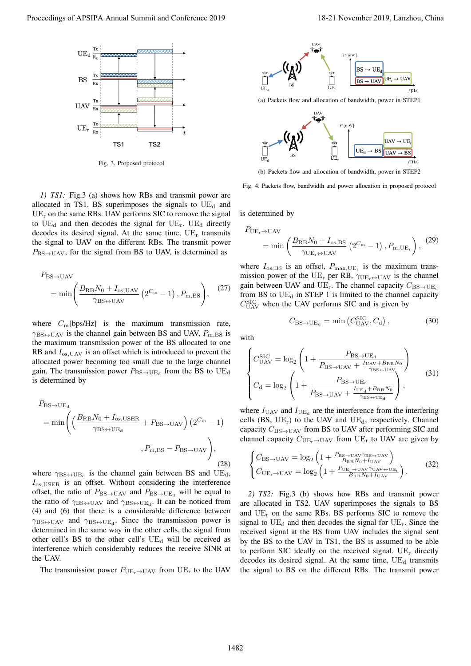

Fig. 3. Proposed protocol

*1) TS1:* Fig.3 (a) shows how RBs and transmit power are allocated in TS1. BS superimposes the signals to  $UE<sub>d</sub>$  and  $UE<sub>r</sub>$  on the same RBs. UAV performs SIC to remove the signal to  $UE_{d}$  and then decodes the signal for  $UE_{r}$ .  $UE_{d}$  directly decodes its desired signal. At the same time,  $UE_r$  transmits the signal to UAV on the different RBs. The transmit power  $P_{\text{BS}\rightarrow\text{UAV}}$ , for the signal from BS to UAV, is determined as

$$
P_{\text{BS} \to \text{UAV}} = \min \left( \frac{B_{\text{RB}} N_0 + I_{\text{os, UAV}}}{\gamma_{\text{BS} \leftrightarrow \text{UAV}}} \left( 2^{C_{\text{m}}} - 1 \right), P_{\text{m,BS}} \right), \quad (27)
$$

where *C*m[bps/Hz] is the maximum transmission rate,  $\gamma_{BS \leftrightarrow UAV}$  is the channel gain between BS and UAV,  $P_{\text{m,BS}}$  is the maximum transmission power of the BS allocated to one RB and *I*os*,*UAV is an offset which is introduced to prevent the allocated power becoming too small due to the large channel gain. The transmission power  $P_{BS\to UE_d}$  from the BS to UE<sub>d</sub> is determined by

$$
P_{\text{BS}\to\text{UE}_{\text{d}}} = \min \left( \left( \frac{B_{\text{RB}} N_0 + I_{\text{os,USER}}}{\gamma_{\text{BS}\leftrightarrow\text{UE}_{\text{d}}}} + P_{\text{BS}\to\text{UAV}} \right) \left( 2^{C_m} - 1 \right) \right)
$$
\n
$$
, P_{\text{m,BS}} - P_{\text{BS}\to\text{UAV}} \right), \tag{28}
$$

where  $\gamma_{BS \leftrightarrow UE_d}$  is the channel gain between BS and UE<sub>d</sub>, *I*os*,*USER is an offset. Without considering the interference offset, the ratio of  $P_{BS \to UN}$  and  $P_{BS \to UE_d}$  will be equal to the ratio of  $\gamma_{BS \leftrightarrow UAV}$  and  $\gamma_{BS \leftrightarrow UE_d}$ . It can be noticed from (4) and (6) that there is a considerable difference between *γ*BS*↔*UAV and *γ*BS*↔*UE<sup>d</sup> . Since the transmission power is determined in the same way in the other cells, the signal from other cell's BS to the other cell's  $UE<sub>d</sub>$  will be received as interference which considerably reduces the receive SINR at the UAV. Proceeding of APSIPA Annual Summit and Conference 2019<br>
The specific state of APSIPA Annual Summit and Conference 2019<br>
The specific state and conference 2019, and conference 2019<br>
The specific state and conference 2019<br>

The transmission power  $P_{\text{UE}_r \to \text{UAV}}$  from UE<sub>r</sub> to the UAV



(a) Packets flow and allocation of bandwidth, power in STEP1



(b) Packets flow and allocation of bandwidth, power in STEP2

Fig. 4. Packets flow, bandwidth and power allocation in proposed protocol

is determined by

$$
P_{\text{UE}_{\text{r}} \to \text{UAV}} = \min \left( \frac{B_{\text{RB}} N_0 + I_{\text{os,BS}}}{\gamma_{\text{UE}_{\text{r}} \leftrightarrow \text{UAV}}} \left( 2^{C_{\text{m}}} - 1 \right), P_{\text{m,UE}_{\text{r}}} \right), \tag{29}
$$

where  $I_{\text{os,BS}}$  is an offset,  $P_{\text{max,UE}_{r}}$  is the maximum transmission power of the UE<sup>r</sup> per RB, *γ*UEr*↔*UAV is the channel gain between UAV and UE<sub>r</sub>. The channel capacity  $C_{BS\rightarrow UE_d}$ from BS to  $UE<sub>d</sub>$  in STEP 1 is limited to the channel capacity  $C_{\text{UAV}}^{\text{SIC}}$  when the UAV performs SIC and is given by

$$
C_{\text{BS}\to\text{UE}_{\text{d}}} = \min\left(C_{\text{UAV}}^{\text{SIC}}, C_{\text{d}}\right),\tag{30}
$$

with

$$
\begin{cases}\nC_{\text{UAV}}^{\text{SIC}} = \log_2 \left( 1 + \frac{P_{\text{BS} \to \text{UE}_d}}{P_{\text{BS} \to \text{UAV}} + \frac{I_{\text{UAV}} + B_{\text{RB}} N_0}{\gamma_{\text{BS} \to \text{UAV}}}} \right) \\
C_d = \log_2 \left( 1 + \frac{P_{\text{BS} \to \text{UE}_d}}{P_{\text{BS} \to \text{UAV}} + \frac{I_{\text{UE}_d} + B_{\text{RB}} N_0}{\gamma_{\text{BS} \to \text{UE}_d}}} \right),\n\end{cases} (31)
$$

where  $I_{\text{UAV}}$  and  $I_{\text{UE}_{d}}$  are the interference from the interfering cells (BS,  $UE_r$ ) to the UAV and  $UE_d$ , respectively. Channel capacity  $C_{BS\rightarrow UAV}$  from BS to UAV after performing SIC and channel capacity  $C_{UE_r \rightarrow UAV}$  from UE<sub>r</sub> to UAV are given by

$$
\begin{cases}\nC_{\text{BS} \to \text{UAV}} = \log_2 \left( 1 + \frac{P_{\text{BS} \to \text{UAV} / \text{BS} \to \text{UAV}}}{B_{\text{RB}} N_0 + I_{\text{UAV}}}\right) \\
C_{\text{UE}_r \to \text{UAV}} = \log_2 \left( 1 + \frac{P_{\text{UE}_r \to \text{UAV} / \text{UAV} \to \text{UE}_r}}{B_{\text{RB}} N_0 + I_{\text{UAV}}}\right).\n\end{cases} \tag{32}
$$

*2) TS2:* Fig.3 (b) shows how RBs and transmit power are allocated in TS2. UAV superimposes the signals to BS and  $UE_r$  on the same RBs. BS performs SIC to remove the signal to  $UE_d$  and then decodes the signal for  $UE_r$ . Since the received signal at the BS from UAV includes the signal sent by the BS to the UAV in TS1, the BS is assumed to be able to perform SIC ideally on the received signal.  $UE_r$  directly decodes its desired signal. At the same time,  $UE<sub>d</sub>$  transmits the signal to BS on the different RBs. The transmit power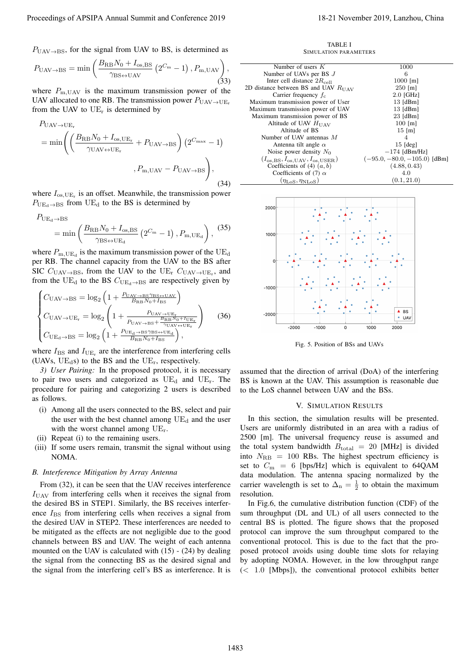$$
P_{\text{UAV}\rightarrow\text{BS}} = \min\left(\frac{B_{\text{RB}}N_0 + I_{\text{os,BS}}}{\gamma_{\text{BS}\leftrightarrow\text{UAV}}}\left(2^{C_{\text{m}}} - 1\right), P_{\text{m,UAV}}\right),\tag{33}
$$

where  $P_{\text{m, UAV}}$  is the maximum transmission power of the UAV allocated to one RB. The transmission power  $P_{\text{UAV}\rightarrow \text{UE}_{r}}$ from the UAV to  $UE_r$  is determined by

$$
P_{\text{UAV}\to\text{UE}_{\text{r}}} = \min \left( \left( \frac{B_{\text{RB}} N_0 + I_{\text{os,UE}_{\text{r}}}}{\gamma_{\text{UAV}\leftrightarrow\text{UE}_{\text{r}}}} + P_{\text{UAV}\to\text{BS}} \right) \left( 2^{C_{\text{max}}} - 1 \right) \right)
$$

$$
, P_{\text{m,UAV}} - P_{\text{UAV}\to\text{BS}} \right), \tag{34}
$$

where  $I_{\text{os,UE}_{r}}$  is an offset. Meanwhile, the transmission power  $P_{UE_d \rightarrow BS}$  from UE<sub>d</sub> to the BS is determined by

$$
P_{UE_{d} \to BS}
$$
  
= min  $\left( \frac{B_{RB} N_0 + I_{os, BS}}{\gamma_{BS \leftrightarrow UE_d}} \left( 2^{C_m} - 1 \right), P_{m, UE_d} \right)$ , (35)

where  $P_{\text{m,UE}_{d}}$  is the maximum transmission power of the  $\text{UE}_{d}$ per RB. The channel capacity from the UAV to the BS after SIC  $C_{\text{UAV}\rightarrow\text{BS}}$ , from the UAV to the UE<sub>r</sub>  $C_{\text{UAV}\rightarrow\text{UE}_{r}}$ , and from the UE<sub>d</sub> to the BS  $C_{UE_d \rightarrow BS}$  are respectively given by

$$
\begin{cases}\nC_{\text{UAV}\rightarrow\text{BS}} = \log_2\left(1 + \frac{P_{\text{UAV}\rightarrow\text{BS}}\gamma_{\text{BS+UAV}}}{B_{\text{RB}}N_0 + I_{\text{BS}}}\right) \\
C_{\text{UAV}\rightarrow\text{UE}_{\text{r}}} = \log_2\left(1 + \frac{P_{\text{UAV}\rightarrow\text{UE}_{\text{r}}}}{P_{\text{UAV}\rightarrow\text{BS}} + \frac{B_{\text{RB}}N_0 + I_{\text{UE}_{\text{r}}}}{\gamma_{\text{UAV}\rightarrow\text{UE}_{\text{r}}}}}\right) \\
C_{\text{UE}_{\text{d}}\rightarrow\text{BS}} = \log_2\left(1 + \frac{P_{\text{UE}_{\text{d}}\rightarrow\text{BS}}\gamma_{\text{BS}+\text{UE}_{\text{d}}}}{B_{\text{RB}}N_0 + I_{\text{BS}}}\right),\n\end{cases} (36)
$$

where  $I_{\text{BS}}$  and  $I_{\text{UE}_{r}}$  are the interference from interfering cells (UAVs,  $UE_{d}s$ ) to the BS and the UE<sub>r</sub>, respectively.

*3) User Pairing:* In the proposed protocol, it is necessary to pair two users and categorized as  $UE<sub>d</sub>$  and  $UE<sub>r</sub>$ . The procedure for pairing and categorizing 2 users is described as follows.

- (i) Among all the users connected to the BS, select and pair the user with the best channel among  $UE<sub>d</sub>$  and the user with the worst channel among  $UE_r$ .
- (ii) Repeat (i) to the remaining users.
- (iii) If some users remain, transmit the signal without using NOMA.

# *B. Interference Mitigation by Array Antenna*

From (32), it can be seen that the UAV receives interference  $I_{\text{UAV}}$  from interfering cells when it receives the signal from the desired BS in STEP1. Similarly, the BS receives interference  $I_{\text{BS}}$  from interfering cells when receives a signal from the desired UAV in STEP2. These interferences are needed to be mitigated as the effects are not negligible due to the good channels between BS and UAV. The weight of each antenna mounted on the UAV is calculated with (15) - (24) by dealing the signal from the connecting BS as the desired signal and the signal from the interfering cell's BS as interference. It is

TABLE I SIMULATION PARAMETERS

| Number of users $K$                              | 1000                           |
|--------------------------------------------------|--------------------------------|
| Number of UAVs per BS $J$                        | 6                              |
| Inter cell distance $2R_{\text{cell}}$           | $1000$ [m]                     |
| 2D distance between BS and UAV $R_{\text{IIAV}}$ | $250$ [m]                      |
| Carrier frequency $f_c$                          | $2.0$ [GHz]                    |
| Maximum transmission power of User               | $13$ [dBm]                     |
| Maximum transmission power of UAV                | $13$ [dBm]                     |
| Maximum transmission power of BS                 | $23$ [dBm]                     |
| Altitude of UAV $H_{\text{UAV}}$                 | $100$ [m]                      |
| Altitude of BS                                   | $15 \,[\mathrm{m}]$            |
| Number of UAV antennas $M$                       | 4                              |
| Antenna tilt angle $\alpha$                      | $15$ [deg]                     |
| Noise power density $N_0$                        | $-174$ [dBm/Hz]                |
| $(I_{os,BS}, I_{os, UAV}, I_{os, USER})$         | $(-95.0, -80.0, -105.0)$ [dBm] |
| Coefficients of (4) $(a, b)$                     | (4.88, 0.43)                   |
| Coefficients of (7) $\alpha$                     | 4.0                            |
| $(\eta_{\rm LoS},\eta_{\rm NLoS})$               | $\left(0.1,21.0\right)$        |



Fig. 5. Position of BSs and UAVs

assumed that the direction of arrival (DoA) of the interfering BS is known at the UAV. This assumption is reasonable due to the LoS channel between UAV and the BSs.

### V. SIMULATION RESULTS

In this section, the simulation results will be presented. Users are uniformly distributed in an area with a radius of 2500 [m]. The universal frequency reuse is assumed and the total system bandwidth  $B_{\text{total}} = 20$  [MHz] is divided into  $N_{\text{RB}} = 100$  RBs. The highest spectrum efficiency is set to  $C_m = 6$  [bps/Hz] which is equivalent to 64QAM data modulation. The antenna spacing normalized by the carrier wavelength is set to  $\Delta_n = \frac{1}{2}$  to obtain the maximum resolution.

In Fig.6, the cumulative distribution function (CDF) of the sum throughput (DL and UL) of all users connected to the central BS is plotted. The figure shows that the proposed protocol can improve the sum throughput compared to the conventional protocol. This is due to the fact that the proposed protocol avoids using double time slots for relaying by adopting NOMA. However, in the low throughput range (*<* 1*.*0 [Mbps]), the conventional protocol exhibits better